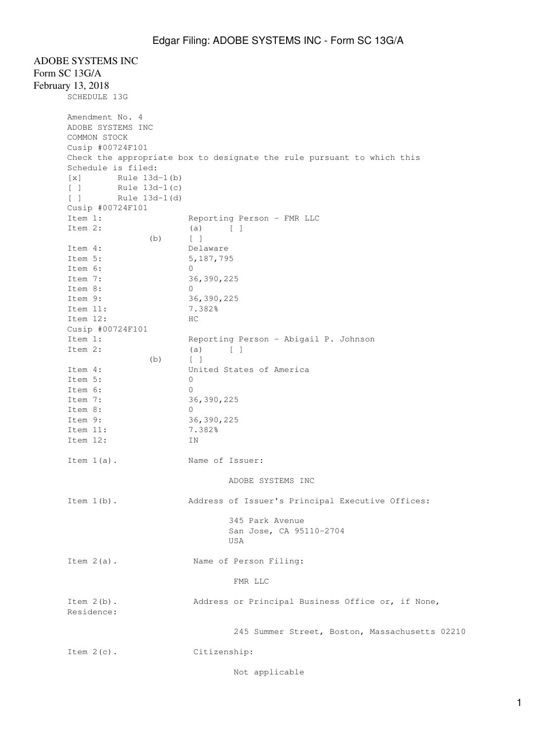## ADOBE SYSTEMS INC Form SC 13G/A February 13, 2018 SCHEDULE 13G Amendment No. 4 ADOBE SYSTEMS INC COMMON STOCK Cusip #00724F101 Schedule is filed:

Check the appropriate box to designate the rule pursuant to which this [x] Rule 13d-1(b) [ ] Rule 13d-1(c) [ ] Rule 13d-1(d) Cusip #00724F101<br>Item 1: Reporting Person - FMR LLC Item 2:  $(a)$   $[$   $]$  (b) [ ] Item 4: Delaware Item 5: 5,187,795 Item 6: 0 Item 7: 36,390,225 Item 8: 0 Item 9: 36,390,225 Item 11: 7.382% Item 12: HC Cusip #00724F101<br>Item 1: Item 1: Reporting Person - Abigail P. Johnson<br>Item 2: (a) [ ]  $(a)$  [ ] (b) [ ] Item 4: United States of America Item 5: 0 Item 6: 0 Item 7: 36,390,225 Item 8: 0 Item 9: 36,390,225 Item 11: 7.382% Item 12: IN Item  $1(a)$ . Name of Issuer: ADOBE SYSTEMS INC Item 1(b). Address of Issuer's Principal Executive Offices: 345 Park Avenue San Jose, CA 95110-2704 USA Item 2(a). Name of Person Filing: FMR LLC Item 2(b). Address or Principal Business Office or, if None, Residence: 245 Summer Street, Boston, Massachusetts 02210 Item 2(c). Citizenship:

Not applicable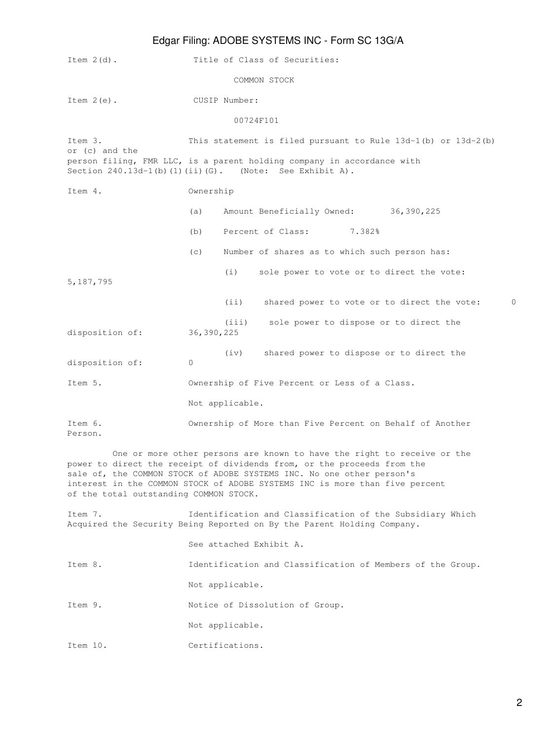## Edgar Filing: ADOBE SYSTEMS INC - Form SC 13G/A

|                                        |                                                                                                                                     | Lugar Filling. ADODL OTOTLINIO 1190 - FUITIFOO TOURN                                                                                                                                                                                                                                                       |
|----------------------------------------|-------------------------------------------------------------------------------------------------------------------------------------|------------------------------------------------------------------------------------------------------------------------------------------------------------------------------------------------------------------------------------------------------------------------------------------------------------|
| Item $2(d)$ .                          |                                                                                                                                     | Title of Class of Securities:                                                                                                                                                                                                                                                                              |
|                                        |                                                                                                                                     | COMMON STOCK                                                                                                                                                                                                                                                                                               |
| Item $2(e)$ .                          |                                                                                                                                     | CUSIP Number:                                                                                                                                                                                                                                                                                              |
|                                        |                                                                                                                                     | 00724F101                                                                                                                                                                                                                                                                                                  |
| Item 3.<br>or (c) and the              |                                                                                                                                     | This statement is filed pursuant to Rule $13d-1$ (b) or $13d-2$ (b)<br>person filing, FMR LLC, is a parent holding company in accordance with                                                                                                                                                              |
|                                        |                                                                                                                                     | Section $240.13d-1(b) (1) (ii) (G)$ . (Note: See Exhibit A).                                                                                                                                                                                                                                               |
| Item 4.                                | Ownership                                                                                                                           |                                                                                                                                                                                                                                                                                                            |
|                                        | (a)                                                                                                                                 | Amount Beneficially Owned: 36,390,225                                                                                                                                                                                                                                                                      |
|                                        | (b)                                                                                                                                 | Percent of Class:<br>7.382%                                                                                                                                                                                                                                                                                |
|                                        | (c)                                                                                                                                 | Number of shares as to which such person has:                                                                                                                                                                                                                                                              |
| 5, 187, 795                            |                                                                                                                                     | (i)<br>sole power to vote or to direct the vote:                                                                                                                                                                                                                                                           |
|                                        |                                                                                                                                     | $\Omega$<br>(i)<br>shared power to vote or to direct the vote:                                                                                                                                                                                                                                             |
| disposition of:                        | 36, 390, 225                                                                                                                        | (iii)<br>sole power to dispose or to direct the                                                                                                                                                                                                                                                            |
| disposition of:                        | $\circ$                                                                                                                             | shared power to dispose or to direct the<br>(iv)                                                                                                                                                                                                                                                           |
| Item 5.                                | Ownership of Five Percent or Less of a Class.                                                                                       |                                                                                                                                                                                                                                                                                                            |
|                                        |                                                                                                                                     | Not applicable.                                                                                                                                                                                                                                                                                            |
| Item 6.<br>Person.                     | Ownership of More than Five Percent on Behalf of Another                                                                            |                                                                                                                                                                                                                                                                                                            |
| of the total outstanding COMMON STOCK. |                                                                                                                                     | One or more other persons are known to have the right to receive or the<br>power to direct the receipt of dividends from, or the proceeds from the<br>sale of, the COMMON STOCK of ADOBE SYSTEMS INC. No one other person's<br>interest in the COMMON STOCK of ADOBE SYSTEMS INC is more than five percent |
| Item 7.                                | Identification and Classification of the Subsidiary Which<br>Acquired the Security Being Reported on By the Parent Holding Company. |                                                                                                                                                                                                                                                                                                            |
|                                        | See attached Exhibit A.                                                                                                             |                                                                                                                                                                                                                                                                                                            |
| Item 8.                                | Identification and Classification of Members of the Group.                                                                          |                                                                                                                                                                                                                                                                                                            |
|                                        | Not applicable.                                                                                                                     |                                                                                                                                                                                                                                                                                                            |
| Item 9.                                | Notice of Dissolution of Group.                                                                                                     |                                                                                                                                                                                                                                                                                                            |

Not applicable.

Item 10. Certifications.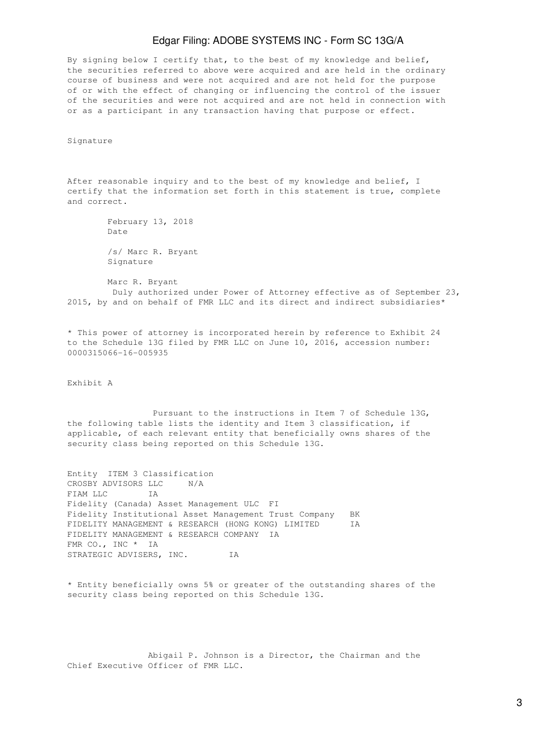## Edgar Filing: ADOBE SYSTEMS INC - Form SC 13G/A

By signing below I certify that, to the best of my knowledge and belief, the securities referred to above were acquired and are held in the ordinary course of business and were not acquired and are not held for the purpose of or with the effect of changing or influencing the control of the issuer of the securities and were not acquired and are not held in connection with or as a participant in any transaction having that purpose or effect.

Signature

After reasonable inquiry and to the best of my knowledge and belief, I certify that the information set forth in this statement is true, complete and correct.

> February 13, 2018 Date /s/ Marc R. Bryant Signature

 Marc R. Bryant Duly authorized under Power of Attorney effective as of September 23, 2015, by and on behalf of FMR LLC and its direct and indirect subsidiaries\*

\* This power of attorney is incorporated herein by reference to Exhibit 24 to the Schedule 13G filed by FMR LLC on June 10, 2016, accession number: 0000315066-16-005935

Exhibit A

 Pursuant to the instructions in Item 7 of Schedule 13G, the following table lists the identity and Item 3 classification, if applicable, of each relevant entity that beneficially owns shares of the security class being reported on this Schedule 13G.

Entity ITEM 3 Classification CROSBY ADVISORS LLC N/A FIAM LLC IA Fidelity (Canada) Asset Management ULC FI Fidelity Institutional Asset Management Trust Company BK FIDELITY MANAGEMENT & RESEARCH (HONG KONG) LIMITED IA FIDELITY MANAGEMENT & RESEARCH COMPANY IA FMR CO., INC \* IA STRATEGIC ADVISERS, INC. IA

\* Entity beneficially owns 5% or greater of the outstanding shares of the security class being reported on this Schedule 13G.

 Abigail P. Johnson is a Director, the Chairman and the Chief Executive Officer of FMR LLC.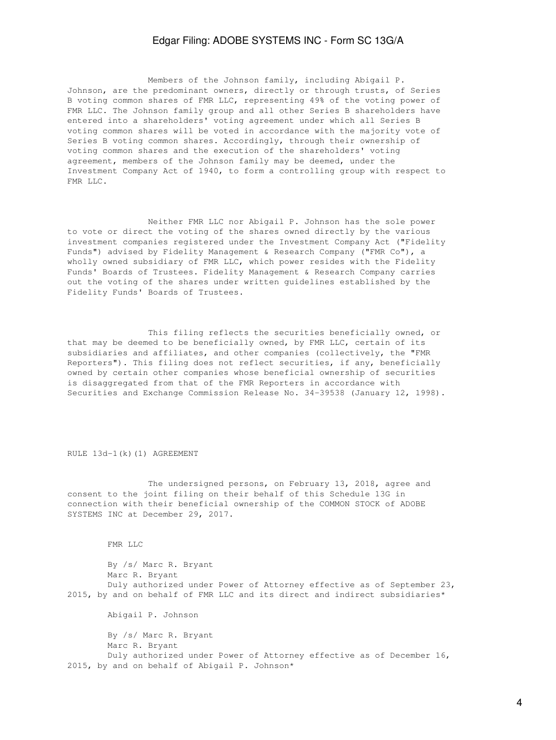## Edgar Filing: ADOBE SYSTEMS INC - Form SC 13G/A

 Members of the Johnson family, including Abigail P. Johnson, are the predominant owners, directly or through trusts, of Series B voting common shares of FMR LLC, representing 49% of the voting power of FMR LLC. The Johnson family group and all other Series B shareholders have entered into a shareholders' voting agreement under which all Series B voting common shares will be voted in accordance with the majority vote of Series B voting common shares. Accordingly, through their ownership of voting common shares and the execution of the shareholders' voting agreement, members of the Johnson family may be deemed, under the Investment Company Act of 1940, to form a controlling group with respect to FMR LLC.

 Neither FMR LLC nor Abigail P. Johnson has the sole power to vote or direct the voting of the shares owned directly by the various investment companies registered under the Investment Company Act ("Fidelity Funds") advised by Fidelity Management & Research Company ("FMR Co"), a wholly owned subsidiary of FMR LLC, which power resides with the Fidelity Funds' Boards of Trustees. Fidelity Management & Research Company carries out the voting of the shares under written guidelines established by the Fidelity Funds' Boards of Trustees.

 This filing reflects the securities beneficially owned, or that may be deemed to be beneficially owned, by FMR LLC, certain of its subsidiaries and affiliates, and other companies (collectively, the "FMR Reporters"). This filing does not reflect securities, if any, beneficially owned by certain other companies whose beneficial ownership of securities is disaggregated from that of the FMR Reporters in accordance with Securities and Exchange Commission Release No. 34-39538 (January 12, 1998).

RULE 13d-1(k)(1) AGREEMENT

 The undersigned persons, on February 13, 2018, agree and consent to the joint filing on their behalf of this Schedule 13G in connection with their beneficial ownership of the COMMON STOCK of ADOBE SYSTEMS INC at December 29, 2017.

FMR LLC

 By /s/ Marc R. Bryant Marc R. Bryant Duly authorized under Power of Attorney effective as of September 23, 2015, by and on behalf of FMR LLC and its direct and indirect subsidiaries\* Abigail P. Johnson By /s/ Marc R. Bryant Marc R. Bryant Duly authorized under Power of Attorney effective as of December 16, 2015, by and on behalf of Abigail P. Johnson\*